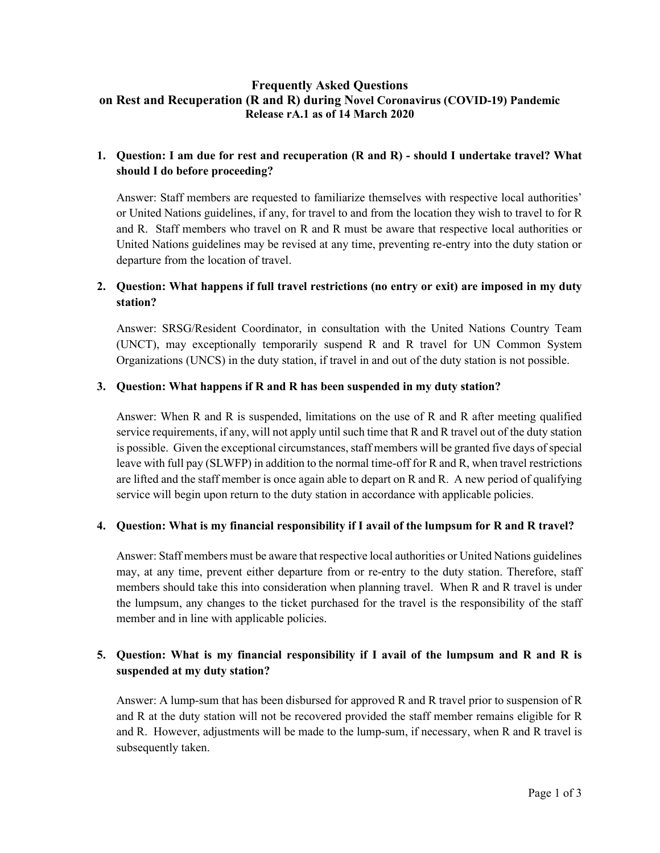### **Frequently Asked Questions on Rest and Recuperation (R and R) during Novel Coronavirus (COVID-19) Pandemic Release rA.1 as of 14 March 2020**

# **1. Question: I am due for rest and recuperation (R and R) - should I undertake travel? What should I do before proceeding?**

Answer: Staff members are requested to familiarize themselves with respective local authorities' or United Nations guidelines, if any, for travel to and from the location they wish to travel to for R and R. Staff members who travel on R and R must be aware that respective local authorities or United Nations guidelines may be revised at any time, preventing re-entry into the duty station or departure from the location of travel.

## **2. Question: What happens if full travel restrictions (no entry or exit) are imposed in my duty station?**

Answer: SRSG/Resident Coordinator, in consultation with the United Nations Country Team (UNCT), may exceptionally temporarily suspend R and R travel for UN Common System Organizations (UNCS) in the duty station, if travel in and out of the duty station is not possible.

#### **3. Question: What happens if R and R has been suspended in my duty station?**

Answer: When R and R is suspended, limitations on the use of R and R after meeting qualified service requirements, if any, will not apply until such time that R and R travel out of the duty station is possible. Given the exceptional circumstances, staff members will be granted five days of special leave with full pay (SLWFP) in addition to the normal time-off for R and R, when travel restrictions are lifted and the staff member is once again able to depart on R and R. A new period of qualifying service will begin upon return to the duty station in accordance with applicable policies.

#### **4. Question: What is my financial responsibility if I avail of the lumpsum for R and R travel?**

Answer: Staff members must be aware that respective local authorities or United Nations guidelines may, at any time, prevent either departure from or re-entry to the duty station. Therefore, staff members should take this into consideration when planning travel. When R and R travel is under the lumpsum, any changes to the ticket purchased for the travel is the responsibility of the staff member and in line with applicable policies.

# **5. Question: What is my financial responsibility if I avail of the lumpsum and R and R is suspended at my duty station?**

Answer: A lump-sum that has been disbursed for approved R and R travel prior to suspension of R and R at the duty station will not be recovered provided the staff member remains eligible for R and R. However, adjustments will be made to the lump-sum, if necessary, when R and R travel is subsequently taken.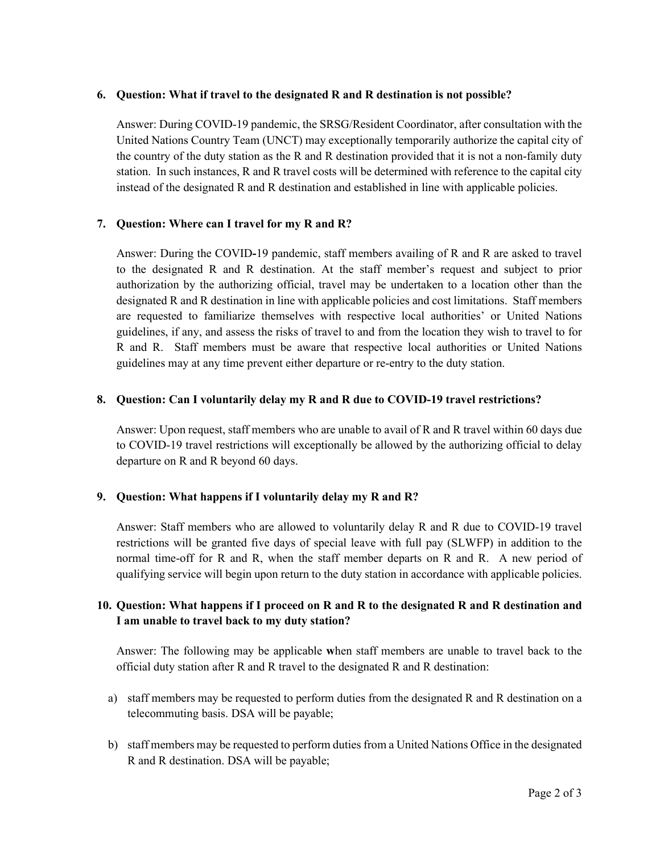### **6. Question: What if travel to the designated R and R destination is not possible?**

Answer: During COVID-19 pandemic, the SRSG/Resident Coordinator, after consultation with the United Nations Country Team (UNCT) may exceptionally temporarily authorize the capital city of the country of the duty station as the R and R destination provided that it is not a non-family duty station. In such instances, R and R travel costs will be determined with reference to the capital city instead of the designated R and R destination and established in line with applicable policies.

### **7. Question: Where can I travel for my R and R?**

Answer: During the COVID**-**19 pandemic, staff members availing of R and R are asked to travel to the designated R and R destination. At the staff member's request and subject to prior authorization by the authorizing official, travel may be undertaken to a location other than the designated R and R destination in line with applicable policies and cost limitations. Staff members are requested to familiarize themselves with respective local authorities' or United Nations guidelines, if any, and assess the risks of travel to and from the location they wish to travel to for R and R. Staff members must be aware that respective local authorities or United Nations guidelines may at any time prevent either departure or re-entry to the duty station.

### **8. Question: Can I voluntarily delay my R and R due to COVID-19 travel restrictions?**

Answer: Upon request, staff members who are unable to avail of R and R travel within 60 days due to COVID-19 travel restrictions will exceptionally be allowed by the authorizing official to delay departure on R and R beyond 60 days.

### **9. Question: What happens if I voluntarily delay my R and R?**

Answer: Staff members who are allowed to voluntarily delay R and R due to COVID-19 travel restrictions will be granted five days of special leave with full pay (SLWFP) in addition to the normal time-off for R and R, when the staff member departs on R and R. A new period of qualifying service will begin upon return to the duty station in accordance with applicable policies.

# **10. Question: What happens if I proceed on R and R to the designated R and R destination and I am unable to travel back to my duty station?**

Answer: The following may be applicable **w**hen staff members are unable to travel back to the official duty station after R and R travel to the designated R and R destination:

- a) staff members may be requested to perform duties from the designated R and R destination on a telecommuting basis. DSA will be payable;
- b) staff members may be requested to perform duties from a United Nations Office in the designated R and R destination. DSA will be payable;